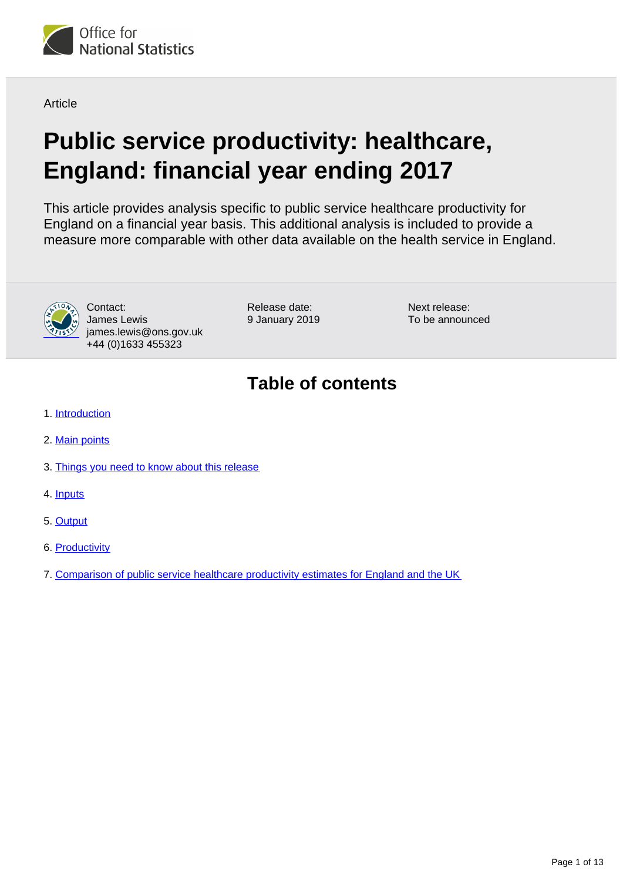

**Article** 

# **Public service productivity: healthcare, England: financial year ending 2017**

This article provides analysis specific to public service healthcare productivity for England on a financial year basis. This additional analysis is included to provide a measure more comparable with other data available on the health service in England.



Contact: James Lewis james.lewis@ons.gov.uk +44 (0)1633 455323

Release date: 9 January 2019 Next release: To be announced

## **Table of contents**

- 1. [Introduction](#page-1-0)
- 2. [Main points](#page-1-1)
- 3. [Things you need to know about this release](#page-1-2)
- 4. [Inputs](#page-2-0)
- 5. [Output](#page-5-0)
- 6. [Productivity](#page-9-0)
- 7. [Comparison of public service healthcare productivity estimates for England and the UK](#page-11-0)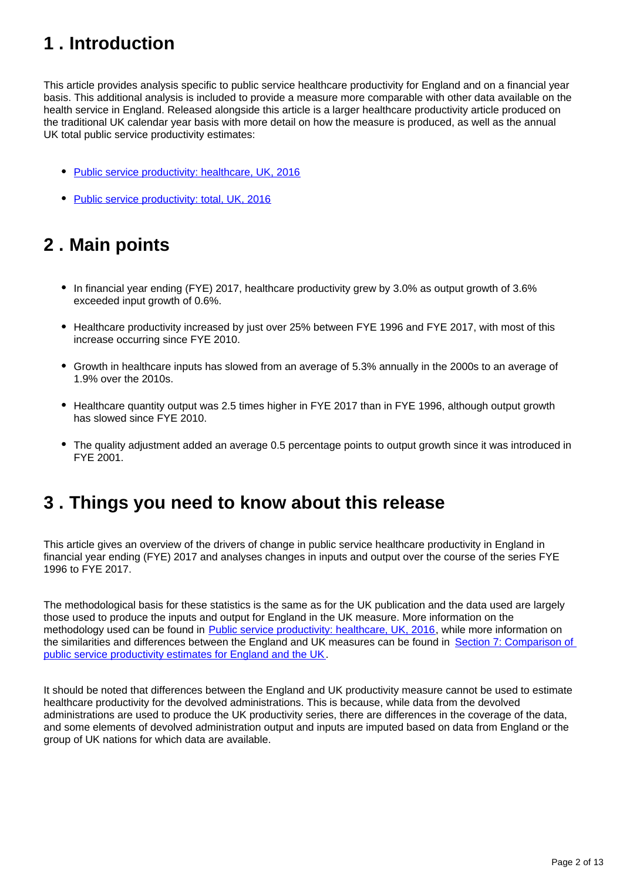## <span id="page-1-0"></span>**1 . Introduction**

This article provides analysis specific to public service healthcare productivity for England and on a financial year basis. This additional analysis is included to provide a measure more comparable with other data available on the health service in England. Released alongside this article is a larger healthcare productivity article produced on the traditional UK calendar year basis with more detail on how the measure is produced, as well as the annual UK total public service productivity estimates:

- [Public service productivity: healthcare, UK, 2016](https://publishing.ons.gov.uk/economy/economicoutputandproductivity/publicservicesproductivity/articles/publicservicesproductivityestimateshealthcare/2016)
- [Public service productivity: total, UK, 2016](https://publishing.ons.gov.uk/economy/economicoutputandproductivity/publicservicesproductivity/articles/publicservicesproductivityestimatestotalpublicservices/2016)

## <span id="page-1-1"></span>**2 . Main points**

- In financial year ending (FYE) 2017, healthcare productivity grew by 3.0% as output growth of 3.6% exceeded input growth of 0.6%.
- Healthcare productivity increased by just over 25% between FYE 1996 and FYE 2017, with most of this increase occurring since FYE 2010.
- Growth in healthcare inputs has slowed from an average of 5.3% annually in the 2000s to an average of 1.9% over the 2010s.
- Healthcare quantity output was 2.5 times higher in FYE 2017 than in FYE 1996, although output growth has slowed since FYE 2010.
- The quality adjustment added an average 0.5 percentage points to output growth since it was introduced in FYE 2001.

## <span id="page-1-2"></span>**3 . Things you need to know about this release**

This article gives an overview of the drivers of change in public service healthcare productivity in England in financial year ending (FYE) 2017 and analyses changes in inputs and output over the course of the series FYE 1996 to FYE 2017.

The methodological basis for these statistics is the same as for the UK publication and the data used are largely those used to produce the inputs and output for England in the UK measure. More information on the methodology used can be found in **[Public service productivity: healthcare, UK, 2016](https://publishing.ons.gov.uk/economy/economicoutputandproductivity/publicservicesproductivity/datasets/publicserviceproductivityestimateshealthcareukandengland)**, while more information on the similarities and differences between the England and UK measures can be found in Section 7: Comparison of [public service productivity estimates for England and the UK](https://publishing.ons.gov.uk/economy/economicoutputandproductivity/publicservicesproductivity/articles/publicservicesproductivityestimateshealthcare/financialyearending2017#comparison-of-public-service-healthcare-productivity-estimates-for-england-and-the-uk).

It should be noted that differences between the England and UK productivity measure cannot be used to estimate healthcare productivity for the devolved administrations. This is because, while data from the devolved administrations are used to produce the UK productivity series, there are differences in the coverage of the data, and some elements of devolved administration output and inputs are imputed based on data from England or the group of UK nations for which data are available.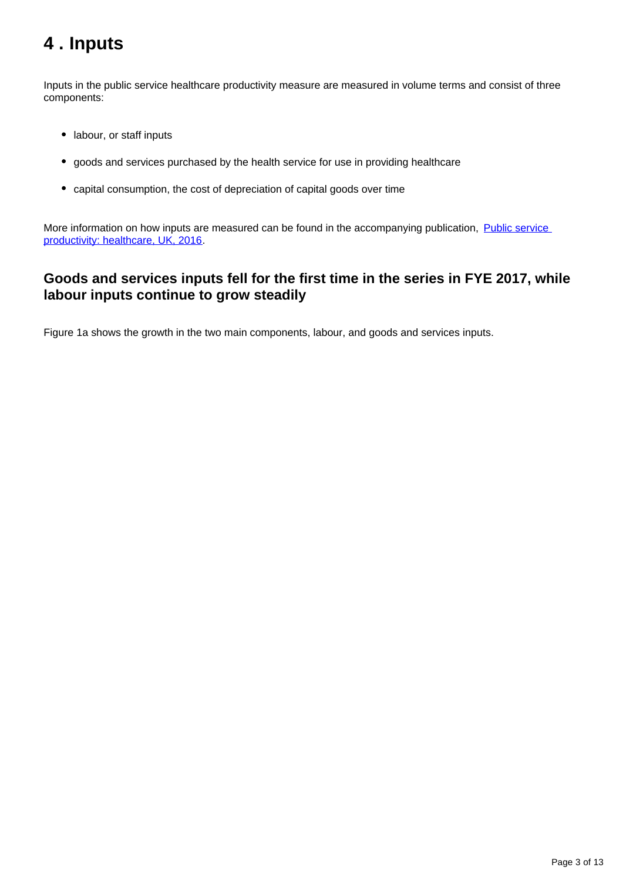## <span id="page-2-0"></span>**4 . Inputs**

Inputs in the public service healthcare productivity measure are measured in volume terms and consist of three components:

- labour, or staff inputs
- goods and services purchased by the health service for use in providing healthcare
- capital consumption, the cost of depreciation of capital goods over time

More information on how inputs are measured can be found in the accompanying publication, Public service [productivity: healthcare, UK, 2016](https://publishing.ons.gov.uk/economy/economicoutputandproductivity/publicservicesproductivity/articles/publicservicesproductivityestimateshealthcare/2016).

### **Goods and services inputs fell for the first time in the series in FYE 2017, while labour inputs continue to grow steadily**

Figure 1a shows the growth in the two main components, labour, and goods and services inputs.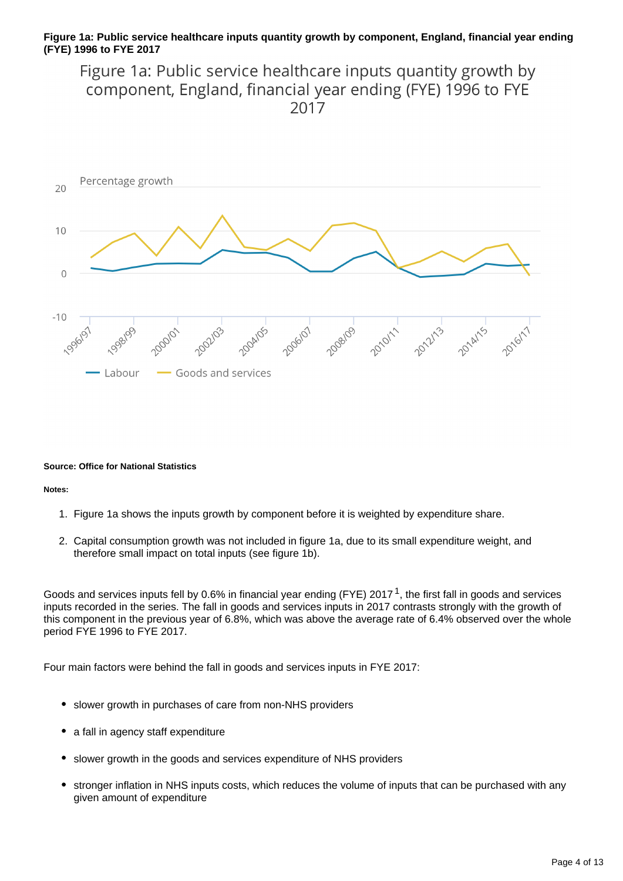### **Figure 1a: Public service healthcare inputs quantity growth by component, England, financial year ending (FYE) 1996 to FYE 2017**

Figure 1a: Public service healthcare inputs quantity growth by component, England, financial year ending (FYE) 1996 to FYE 2017



#### **Source: Office for National Statistics**

#### **Notes:**

- 1. Figure 1a shows the inputs growth by component before it is weighted by expenditure share.
- 2. Capital consumption growth was not included in figure 1a, due to its small expenditure weight, and therefore small impact on total inputs (see figure 1b).

Goods and services inputs fell by 0.6% in financial year ending (FYE) 2017<sup>1</sup>, the first fall in goods and services inputs recorded in the series. The fall in goods and services inputs in 2017 contrasts strongly with the growth of this component in the previous year of 6.8%, which was above the average rate of 6.4% observed over the whole period FYE 1996 to FYE 2017.

Four main factors were behind the fall in goods and services inputs in FYE 2017:

- slower growth in purchases of care from non-NHS providers
- a fall in agency staff expenditure
- slower growth in the goods and services expenditure of NHS providers
- stronger inflation in NHS inputs costs, which reduces the volume of inputs that can be purchased with any given amount of expenditure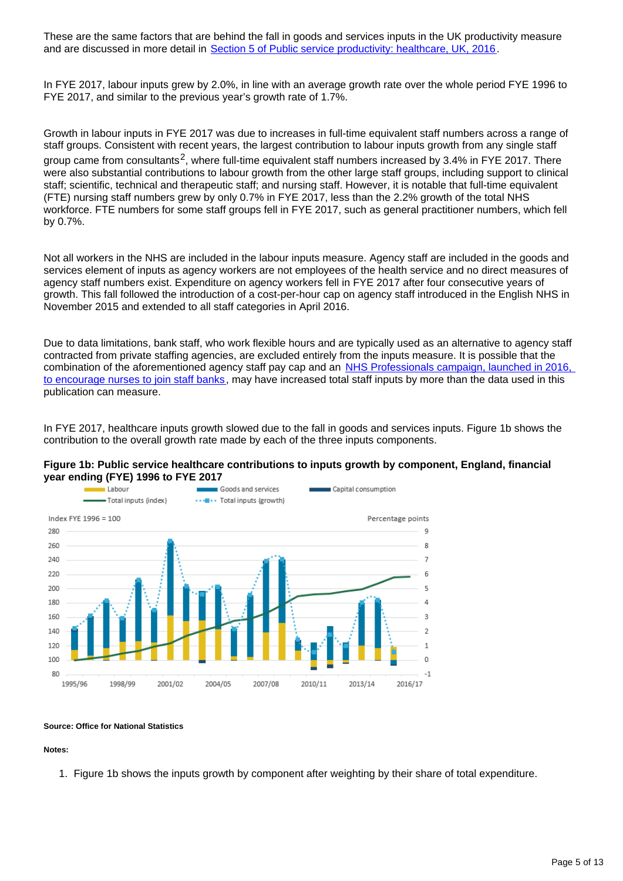These are the same factors that are behind the fall in goods and services inputs in the UK productivity measure and are discussed in more detail in **[Section 5 of Public service productivity: healthcare, UK, 2016.](https://publishing.ons.gov.uk/economy/economicoutputandproductivity/publicservicesproductivity/articles/publicservicesproductivityestimateshealthcare/2016#inputs)** 

In FYE 2017, labour inputs grew by 2.0%, in line with an average growth rate over the whole period FYE 1996 to FYE 2017, and similar to the previous year's growth rate of 1.7%.

Growth in labour inputs in FYE 2017 was due to increases in full-time equivalent staff numbers across a range of staff groups. Consistent with recent years, the largest contribution to labour inputs growth from any single staff group came from consultants<sup>2</sup>, where full-time equivalent staff numbers increased by 3.4% in FYE 2017. There were also substantial contributions to labour growth from the other large staff groups, including support to clinical staff; scientific, technical and therapeutic staff; and nursing staff. However, it is notable that full-time equivalent (FTE) nursing staff numbers grew by only 0.7% in FYE 2017, less than the 2.2% growth of the total NHS workforce. FTE numbers for some staff groups fell in FYE 2017, such as general practitioner numbers, which fell by 0.7%.

Not all workers in the NHS are included in the labour inputs measure. Agency staff are included in the goods and services element of inputs as agency workers are not employees of the health service and no direct measures of agency staff numbers exist. Expenditure on agency workers fell in FYE 2017 after four consecutive years of growth. This fall followed the introduction of a cost-per-hour cap on agency staff introduced in the English NHS in November 2015 and extended to all staff categories in April 2016.

Due to data limitations, bank staff, who work flexible hours and are typically used as an alternative to agency staff contracted from private staffing agencies, are excluded entirely from the inputs measure. It is possible that the combination of the aforementioned agency staff pay cap and an NHS Professionals campaign, launched in 2016, [to encourage nurses to join staff banks](http://www.nationalhealthexecutive.com/News/new-campaign-urges-nurses-to-join-trust-staff-banks-/132052), may have increased total staff inputs by more than the data used in this publication can measure.

In FYE 2017, healthcare inputs growth slowed due to the fall in goods and services inputs. Figure 1b shows the contribution to the overall growth rate made by each of the three inputs components.



### **Figure 1b: Public service healthcare contributions to inputs growth by component, England, financial year ending (FYE) 1996 to FYE 2017**

#### **Source: Office for National Statistics**

**Notes:**

1. Figure 1b shows the inputs growth by component after weighting by their share of total expenditure.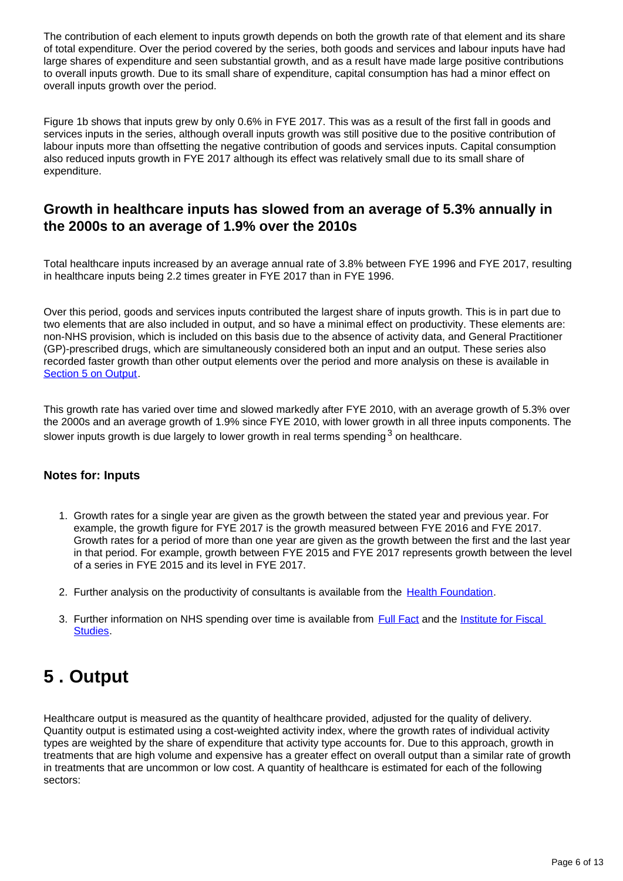The contribution of each element to inputs growth depends on both the growth rate of that element and its share of total expenditure. Over the period covered by the series, both goods and services and labour inputs have had large shares of expenditure and seen substantial growth, and as a result have made large positive contributions to overall inputs growth. Due to its small share of expenditure, capital consumption has had a minor effect on overall inputs growth over the period.

Figure 1b shows that inputs grew by only 0.6% in FYE 2017. This was as a result of the first fall in goods and services inputs in the series, although overall inputs growth was still positive due to the positive contribution of labour inputs more than offsetting the negative contribution of goods and services inputs. Capital consumption also reduced inputs growth in FYE 2017 although its effect was relatively small due to its small share of expenditure.

### **Growth in healthcare inputs has slowed from an average of 5.3% annually in the 2000s to an average of 1.9% over the 2010s**

Total healthcare inputs increased by an average annual rate of 3.8% between FYE 1996 and FYE 2017, resulting in healthcare inputs being 2.2 times greater in FYE 2017 than in FYE 1996.

Over this period, goods and services inputs contributed the largest share of inputs growth. This is in part due to two elements that are also included in output, and so have a minimal effect on productivity. These elements are: non-NHS provision, which is included on this basis due to the absence of activity data, and General Practitioner (GP)-prescribed drugs, which are simultaneously considered both an input and an output. These series also recorded faster growth than other output elements over the period and more analysis on these is available in [Section 5 on Output.](https://publishing.ons.gov.uk/economy/economicoutputandproductivity/publicservicesproductivity/articles/publicservicesproductivityestimateshealthcare/financialyearending2017#output)

This growth rate has varied over time and slowed markedly after FYE 2010, with an average growth of 5.3% over the 2000s and an average growth of 1.9% since FYE 2010, with lower growth in all three inputs components. The slower inputs growth is due largely to lower growth in real terms spending  $3$  on healthcare.

### **Notes for: Inputs**

- 1. Growth rates for a single year are given as the growth between the stated year and previous year. For example, the growth figure for FYE 2017 is the growth measured between FYE 2016 and FYE 2017. Growth rates for a period of more than one year are given as the growth between the first and the last year in that period. For example, growth between FYE 2015 and FYE 2017 represents growth between the level of a series in FYE 2015 and its level in FYE 2017.
- 2. Further analysis on the productivity of consultants is available from the [Health Foundation.](https://www.health.org.uk/sites/default/files/YearOfPlenty.pdf)
- 3. Further information on NHS spending over time is available from [Full Fact](https://fullfact.org/health/spending-english-nhs/) and the Institute for Fiscal [Studies](https://www.ifs.org.uk/uploads/publications/bns/BN201.pdf).

## <span id="page-5-0"></span>**5 . Output**

Healthcare output is measured as the quantity of healthcare provided, adjusted for the quality of delivery. Quantity output is estimated using a cost-weighted activity index, where the growth rates of individual activity types are weighted by the share of expenditure that activity type accounts for. Due to this approach, growth in treatments that are high volume and expensive has a greater effect on overall output than a similar rate of growth in treatments that are uncommon or low cost. A quantity of healthcare is estimated for each of the following sectors: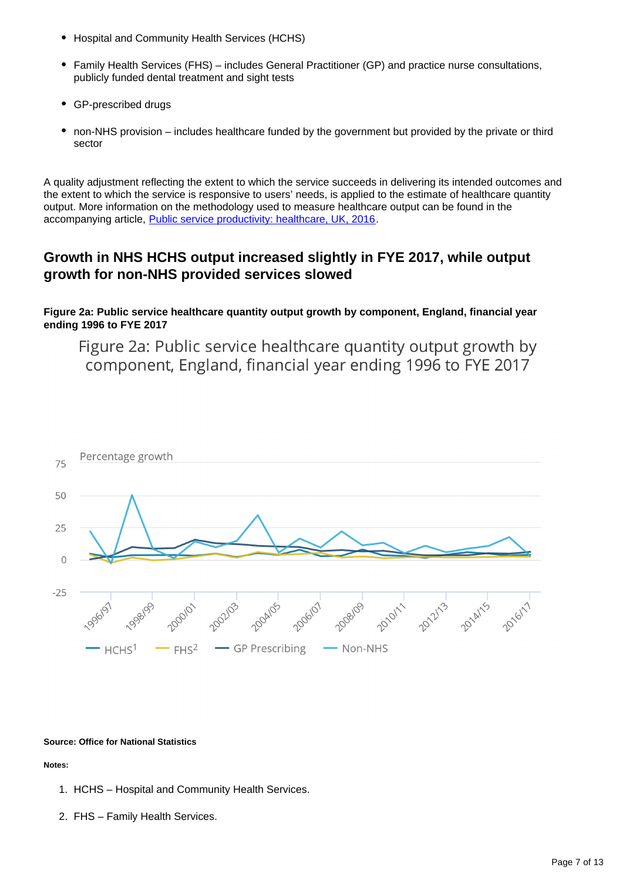- Hospital and Community Health Services (HCHS)
- Family Health Services (FHS) includes General Practitioner (GP) and practice nurse consultations, publicly funded dental treatment and sight tests
- GP-prescribed drugs
- non-NHS provision includes healthcare funded by the government but provided by the private or third sector

A quality adjustment reflecting the extent to which the service succeeds in delivering its intended outcomes and the extent to which the service is responsive to users' needs, is applied to the estimate of healthcare quantity output. More information on the methodology used to measure healthcare output can be found in the accompanying article, [Public service productivity: healthcare, UK, 2016](https://publishing.ons.gov.uk/economy/economicoutputandproductivity/publicservicesproductivity/articles/publicservicesproductivityestimateshealthcare/2016).

### **Growth in NHS HCHS output increased slightly in FYE 2017, while output growth for non-NHS provided services slowed**

**Figure 2a: Public service healthcare quantity output growth by component, England, financial year ending 1996 to FYE 2017**

Figure 2a: Public service healthcare quantity output growth by component, England, financial year ending 1996 to FYE 2017



#### **Source: Office for National Statistics**

**Notes:**

- 1. HCHS Hospital and Community Health Services.
- 2. FHS Family Health Services.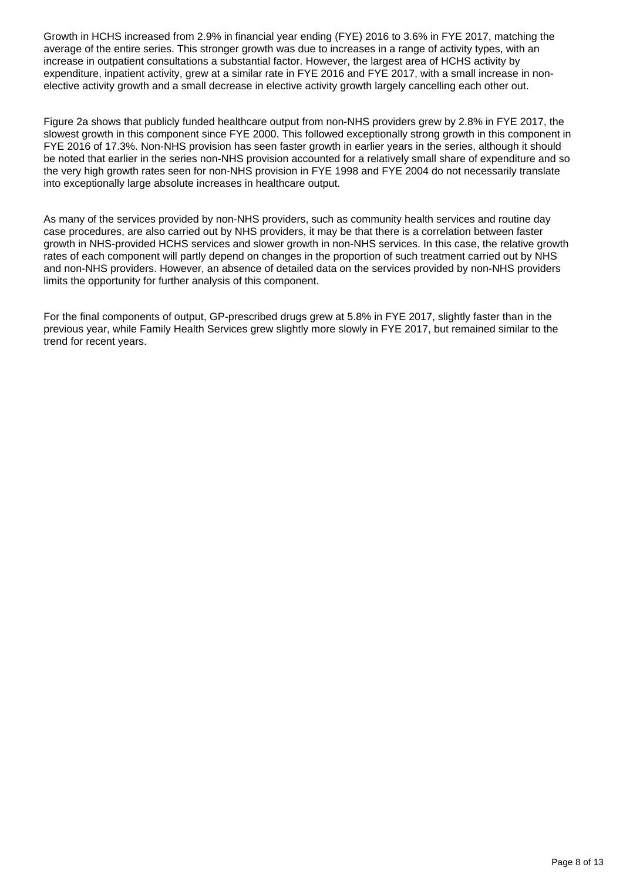Growth in HCHS increased from 2.9% in financial year ending (FYE) 2016 to 3.6% in FYE 2017, matching the average of the entire series. This stronger growth was due to increases in a range of activity types, with an increase in outpatient consultations a substantial factor. However, the largest area of HCHS activity by expenditure, inpatient activity, grew at a similar rate in FYE 2016 and FYE 2017, with a small increase in nonelective activity growth and a small decrease in elective activity growth largely cancelling each other out.

Figure 2a shows that publicly funded healthcare output from non-NHS providers grew by 2.8% in FYE 2017, the slowest growth in this component since FYE 2000. This followed exceptionally strong growth in this component in FYE 2016 of 17.3%. Non-NHS provision has seen faster growth in earlier years in the series, although it should be noted that earlier in the series non-NHS provision accounted for a relatively small share of expenditure and so the very high growth rates seen for non-NHS provision in FYE 1998 and FYE 2004 do not necessarily translate into exceptionally large absolute increases in healthcare output.

As many of the services provided by non-NHS providers, such as community health services and routine day case procedures, are also carried out by NHS providers, it may be that there is a correlation between faster growth in NHS-provided HCHS services and slower growth in non-NHS services. In this case, the relative growth rates of each component will partly depend on changes in the proportion of such treatment carried out by NHS and non-NHS providers. However, an absence of detailed data on the services provided by non-NHS providers limits the opportunity for further analysis of this component.

For the final components of output, GP-prescribed drugs grew at 5.8% in FYE 2017, slightly faster than in the previous year, while Family Health Services grew slightly more slowly in FYE 2017, but remained similar to the trend for recent years.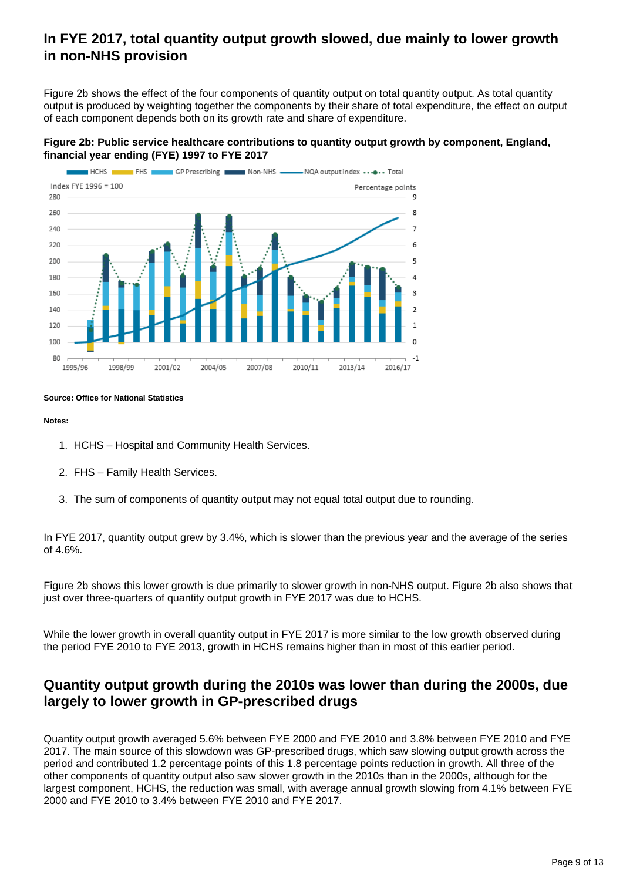### **In FYE 2017, total quantity output growth slowed, due mainly to lower growth in non-NHS provision**

Figure 2b shows the effect of the four components of quantity output on total quantity output. As total quantity output is produced by weighting together the components by their share of total expenditure, the effect on output of each component depends both on its growth rate and share of expenditure.

### **Figure 2b: Public service healthcare contributions to quantity output growth by component, England, financial year ending (FYE) 1997 to FYE 2017**



#### **Source: Office for National Statistics**

#### **Notes:**

- 1. HCHS Hospital and Community Health Services.
- 2. FHS Family Health Services.
- 3. The sum of components of quantity output may not equal total output due to rounding.

In FYE 2017, quantity output grew by 3.4%, which is slower than the previous year and the average of the series of 4.6%.

Figure 2b shows this lower growth is due primarily to slower growth in non-NHS output. Figure 2b also shows that just over three-quarters of quantity output growth in FYE 2017 was due to HCHS.

While the lower growth in overall quantity output in FYE 2017 is more similar to the low growth observed during the period FYE 2010 to FYE 2013, growth in HCHS remains higher than in most of this earlier period.

### **Quantity output growth during the 2010s was lower than during the 2000s, due largely to lower growth in GP-prescribed drugs**

Quantity output growth averaged 5.6% between FYE 2000 and FYE 2010 and 3.8% between FYE 2010 and FYE 2017. The main source of this slowdown was GP-prescribed drugs, which saw slowing output growth across the period and contributed 1.2 percentage points of this 1.8 percentage points reduction in growth. All three of the other components of quantity output also saw slower growth in the 2010s than in the 2000s, although for the largest component, HCHS, the reduction was small, with average annual growth slowing from 4.1% between FYE 2000 and FYE 2010 to 3.4% between FYE 2010 and FYE 2017.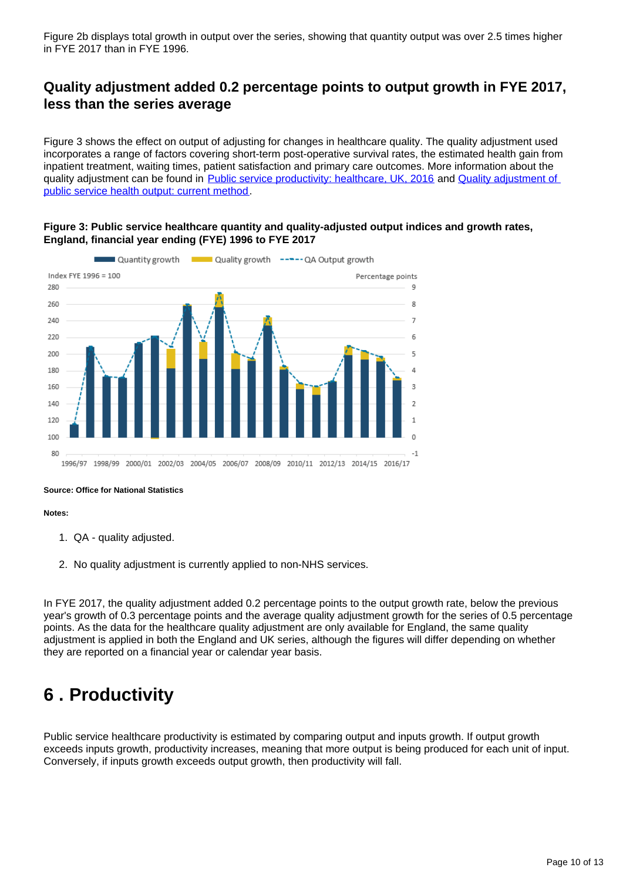Figure 2b displays total growth in output over the series, showing that quantity output was over 2.5 times higher in FYE 2017 than in FYE 1996.

### **Quality adjustment added 0.2 percentage points to output growth in FYE 2017, less than the series average**

Figure 3 shows the effect on output of adjusting for changes in healthcare quality. The quality adjustment used incorporates a range of factors covering short-term post-operative survival rates, the estimated health gain from inpatient treatment, waiting times, patient satisfaction and primary care outcomes. More information about the quality adjustment can be found in [Public service productivity: healthcare, UK, 2016](https://publishing.ons.gov.uk/economy/economicoutputandproductivity/publicservicesproductivity/articles/publicservicesproductivityestimateshealthcare/2016) and [Quality adjustment of](https://webarchive.nationalarchives.gov.uk/20160106223636/http:/www.ons.gov.uk/ons/guide-method/method-quality/specific/public-sector-methodology/articles/quality-adjustment-of-public-service-health-output--current-method.pdf)  [public service health output: current method](https://webarchive.nationalarchives.gov.uk/20160106223636/http:/www.ons.gov.uk/ons/guide-method/method-quality/specific/public-sector-methodology/articles/quality-adjustment-of-public-service-health-output--current-method.pdf).

### **Figure 3: Public service healthcare quantity and quality-adjusted output indices and growth rates, England, financial year ending (FYE) 1996 to FYE 2017**



**Source: Office for National Statistics**

#### **Notes:**

- 1. QA quality adjusted.
- 2. No quality adjustment is currently applied to non-NHS services.

In FYE 2017, the quality adjustment added 0.2 percentage points to the output growth rate, below the previous year's growth of 0.3 percentage points and the average quality adjustment growth for the series of 0.5 percentage points. As the data for the healthcare quality adjustment are only available for England, the same quality adjustment is applied in both the England and UK series, although the figures will differ depending on whether they are reported on a financial year or calendar year basis.

## <span id="page-9-0"></span>**6 . Productivity**

Public service healthcare productivity is estimated by comparing output and inputs growth. If output growth exceeds inputs growth, productivity increases, meaning that more output is being produced for each unit of input. Conversely, if inputs growth exceeds output growth, then productivity will fall.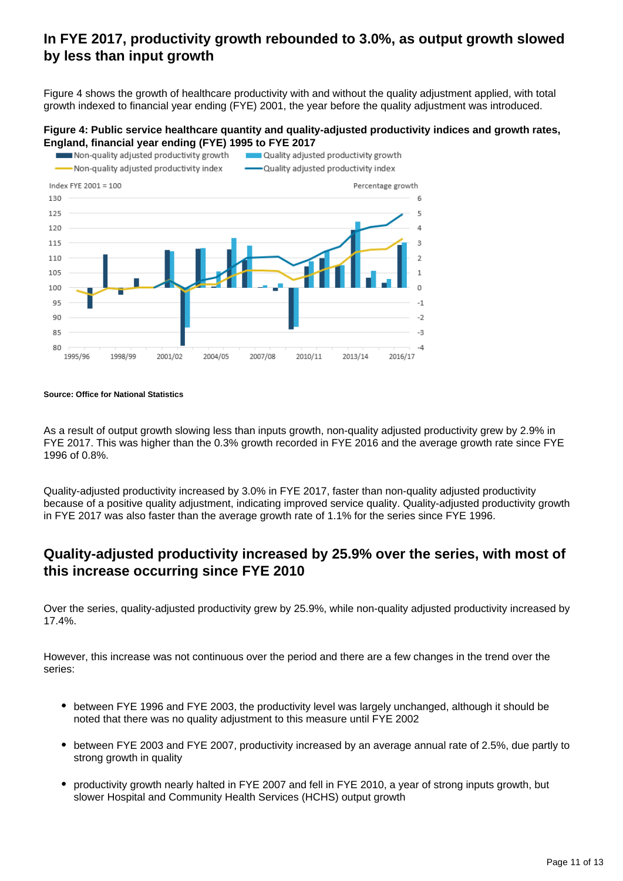### **In FYE 2017, productivity growth rebounded to 3.0%, as output growth slowed by less than input growth**

Figure 4 shows the growth of healthcare productivity with and without the quality adjustment applied, with total growth indexed to financial year ending (FYE) 2001, the year before the quality adjustment was introduced.

### **Figure 4: Public service healthcare quantity and quality-adjusted productivity indices and growth rates, England, financial year ending (FYE) 1995 to FYE 2017**



#### **Source: Office for National Statistics**

As a result of output growth slowing less than inputs growth, non-quality adjusted productivity grew by 2.9% in FYE 2017. This was higher than the 0.3% growth recorded in FYE 2016 and the average growth rate since FYE 1996 of 0.8%.

Quality-adjusted productivity increased by 3.0% in FYE 2017, faster than non-quality adjusted productivity because of a positive quality adjustment, indicating improved service quality. Quality-adjusted productivity growth in FYE 2017 was also faster than the average growth rate of 1.1% for the series since FYE 1996.

### **Quality-adjusted productivity increased by 25.9% over the series, with most of this increase occurring since FYE 2010**

Over the series, quality-adjusted productivity grew by 25.9%, while non-quality adjusted productivity increased by 17.4%.

However, this increase was not continuous over the period and there are a few changes in the trend over the series:

- between FYE 1996 and FYE 2003, the productivity level was largely unchanged, although it should be noted that there was no quality adjustment to this measure until FYE 2002
- between FYE 2003 and FYE 2007, productivity increased by an average annual rate of 2.5%, due partly to strong growth in quality
- productivity growth nearly halted in FYE 2007 and fell in FYE 2010, a year of strong inputs growth, but slower Hospital and Community Health Services (HCHS) output growth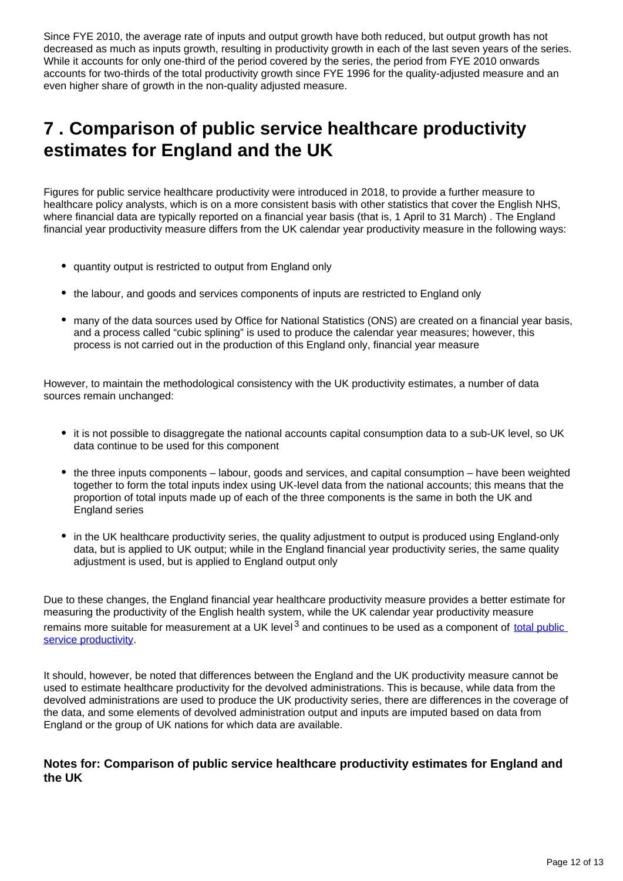Since FYE 2010, the average rate of inputs and output growth have both reduced, but output growth has not decreased as much as inputs growth, resulting in productivity growth in each of the last seven years of the series. While it accounts for only one-third of the period covered by the series, the period from FYE 2010 onwards accounts for two-thirds of the total productivity growth since FYE 1996 for the quality-adjusted measure and an even higher share of growth in the non-quality adjusted measure.

## <span id="page-11-0"></span>**7 . Comparison of public service healthcare productivity estimates for England and the UK**

Figures for public service healthcare productivity were introduced in 2018, to provide a further measure to healthcare policy analysts, which is on a more consistent basis with other statistics that cover the English NHS, where financial data are typically reported on a financial year basis (that is, 1 April to 31 March) . The England financial year productivity measure differs from the UK calendar year productivity measure in the following ways:

- quantity output is restricted to output from England only
- the labour, and goods and services components of inputs are restricted to England only
- many of the data sources used by Office for National Statistics (ONS) are created on a financial year basis, and a process called "cubic splining" is used to produce the calendar year measures; however, this process is not carried out in the production of this England only, financial year measure

However, to maintain the methodological consistency with the UK productivity estimates, a number of data sources remain unchanged:

- it is not possible to disaggregate the national accounts capital consumption data to a sub-UK level, so UK data continue to be used for this component
- the three inputs components labour, goods and services, and capital consumption have been weighted together to form the total inputs index using UK-level data from the national accounts; this means that the proportion of total inputs made up of each of the three components is the same in both the UK and England series
- in the UK healthcare productivity series, the quality adjustment to output is produced using England-only data, but is applied to UK output; while in the England financial year productivity series, the same quality adjustment is used, but is applied to England output only

Due to these changes, the England financial year healthcare productivity measure provides a better estimate for measuring the productivity of the English health system, while the UK calendar year productivity measure remains more suitable for measurement at a UK level<sup>3</sup> and continues to be used as a component of total public [service productivity.](https://www.ons.gov.uk/economy/economicoutputandproductivity/publicservicesproductivity/methodologies/publicserviceproductivityestimatestotalpublicservicesqmi)

It should, however, be noted that differences between the England and the UK productivity measure cannot be used to estimate healthcare productivity for the devolved administrations. This is because, while data from the devolved administrations are used to produce the UK productivity series, there are differences in the coverage of the data, and some elements of devolved administration output and inputs are imputed based on data from England or the group of UK nations for which data are available.

### **Notes for: Comparison of public service healthcare productivity estimates for England and the UK**